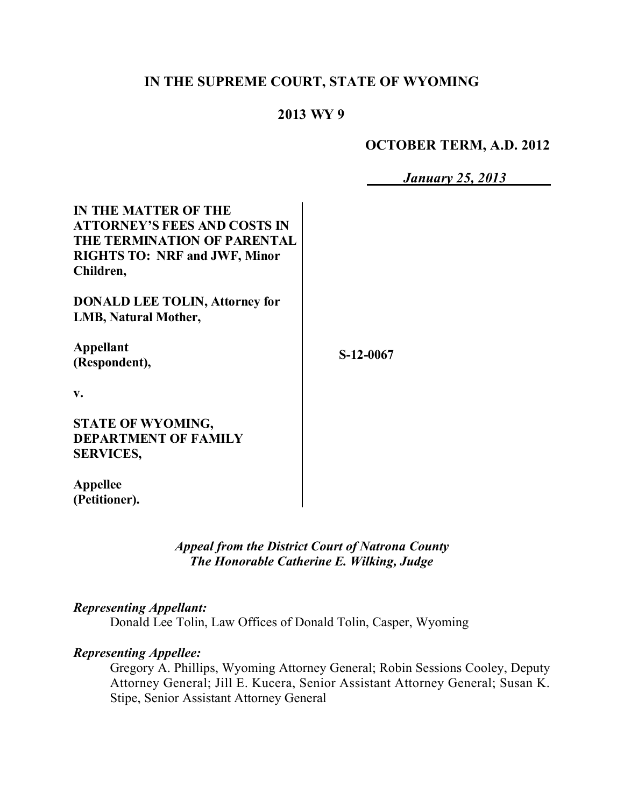# **IN THE SUPREME COURT, STATE OF WYOMING**

## **2013 WY 9**

#### **OCTOBER TERM, A.D. 2012**

*January 25, 2013*

| <b>IN THE MATTER OF THE</b><br><b>ATTORNEY'S FEES AND COSTS IN</b><br>THE TERMINATION OF PARENTAL<br><b>RIGHTS TO: NRF and JWF, Minor</b><br>Children, |           |
|--------------------------------------------------------------------------------------------------------------------------------------------------------|-----------|
| <b>DONALD LEE TOLIN, Attorney for</b><br><b>LMB, Natural Mother,</b>                                                                                   |           |
| <b>Appellant</b><br>(Respondent),                                                                                                                      | S-12-0067 |
| V.                                                                                                                                                     |           |
| <b>STATE OF WYOMING,</b><br><b>DEPARTMENT OF FAMILY</b><br><b>SERVICES,</b>                                                                            |           |
| Annellee                                                                                                                                               |           |

**Appellee (Petitioner).**

> *Appeal from the District Court of Natrona County The Honorable Catherine E. Wilking, Judge*

## *Representing Appellant:*

Donald Lee Tolin, Law Offices of Donald Tolin, Casper, Wyoming

## *Representing Appellee:*

Gregory A. Phillips, Wyoming Attorney General; Robin Sessions Cooley, Deputy Attorney General; Jill E. Kucera, Senior Assistant Attorney General; Susan K. Stipe, Senior Assistant Attorney General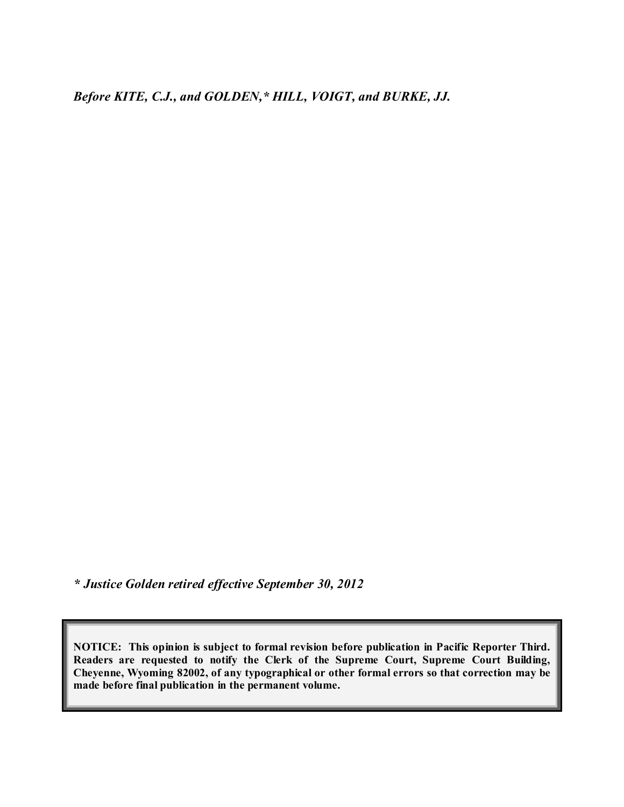*Before KITE, C.J., and GOLDEN,\* HILL, VOIGT, and BURKE, JJ.*

*\* Justice Golden retired effective September 30, 2012*

**NOTICE: This opinion is subject to formal revision before publication in Pacific Reporter Third. Readers are requested to notify the Clerk of the Supreme Court, Supreme Court Building, Cheyenne, Wyoming 82002, of any typographical or other formal errors so that correction may be made before final publication in the permanent volume.**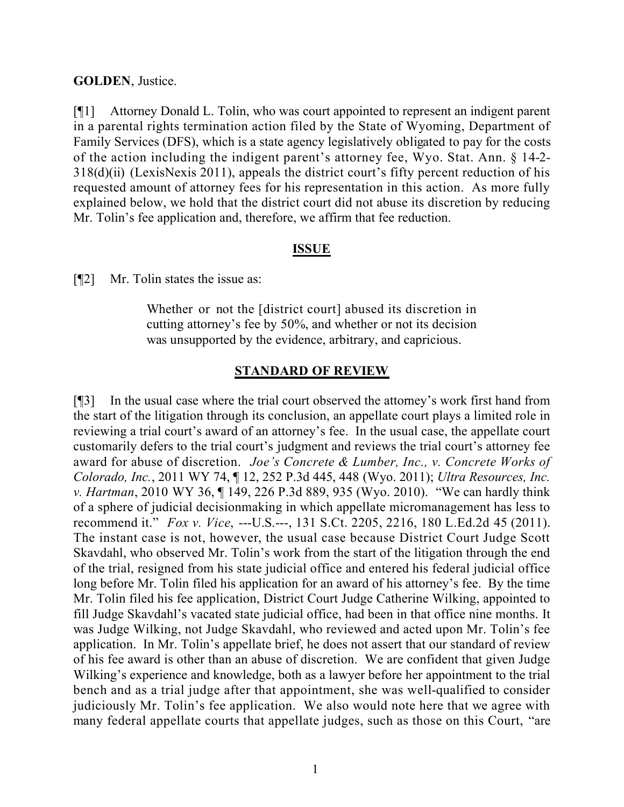#### **GOLDEN**, Justice.

[¶1] Attorney Donald L. Tolin, who was court appointed to represent an indigent parent in a parental rights termination action filed by the State of Wyoming, Department of Family Services (DFS), which is a state agency legislatively obligated to pay for the costs of the action including the indigent parent's attorney fee, Wyo. Stat. Ann. § 14-2- 318(d)(ii) (LexisNexis 2011), appeals the district court's fifty percent reduction of his requested amount of attorney fees for his representation in this action. As more fully explained below, we hold that the district court did not abuse its discretion by reducing Mr. Tolin's fee application and, therefore, we affirm that fee reduction.

#### **ISSUE**

[¶2] Mr. Tolin states the issue as:

Whether or not the [district court] abused its discretion in cutting attorney's fee by 50%, and whether or not its decision was unsupported by the evidence, arbitrary, and capricious.

### **STANDARD OF REVIEW**

[¶3] In the usual case where the trial court observed the attorney's work first hand from the start of the litigation through its conclusion, an appellate court plays a limited role in reviewing a trial court's award of an attorney's fee. In the usual case, the appellate court customarily defers to the trial court's judgment and reviews the trial court's attorney fee award for abuse of discretion. *Joe's Concrete & Lumber, Inc., v. Concrete Works of Colorado, Inc.*, 2011 WY 74, ¶ 12, 252 P.3d 445, 448 (Wyo. 2011); *Ultra Resources, Inc. v. Hartman*, 2010 WY 36, ¶ 149, 226 P.3d 889, 935 (Wyo. 2010). "We can hardly think of a sphere of judicial decisionmaking in which appellate micromanagement has less to recommend it." *Fox v. Vice*, ---U.S.---, 131 S.Ct. 2205, 2216, 180 L.Ed.2d 45 (2011). The instant case is not, however, the usual case because District Court Judge Scott Skavdahl, who observed Mr. Tolin's work from the start of the litigation through the end of the trial, resigned from his state judicial office and entered his federal judicial office long before Mr. Tolin filed his application for an award of his attorney's fee. By the time Mr. Tolin filed his fee application, District Court Judge Catherine Wilking, appointed to fill Judge Skavdahl's vacated state judicial office, had been in that office nine months. It was Judge Wilking, not Judge Skavdahl, who reviewed and acted upon Mr. Tolin's fee application. In Mr. Tolin's appellate brief, he does not assert that our standard of review of his fee award is other than an abuse of discretion. We are confident that given Judge Wilking's experience and knowledge, both as a lawyer before her appointment to the trial bench and as a trial judge after that appointment, she was well-qualified to consider judiciously Mr. Tolin's fee application. We also would note here that we agree with many federal appellate courts that appellate judges, such as those on this Court, "are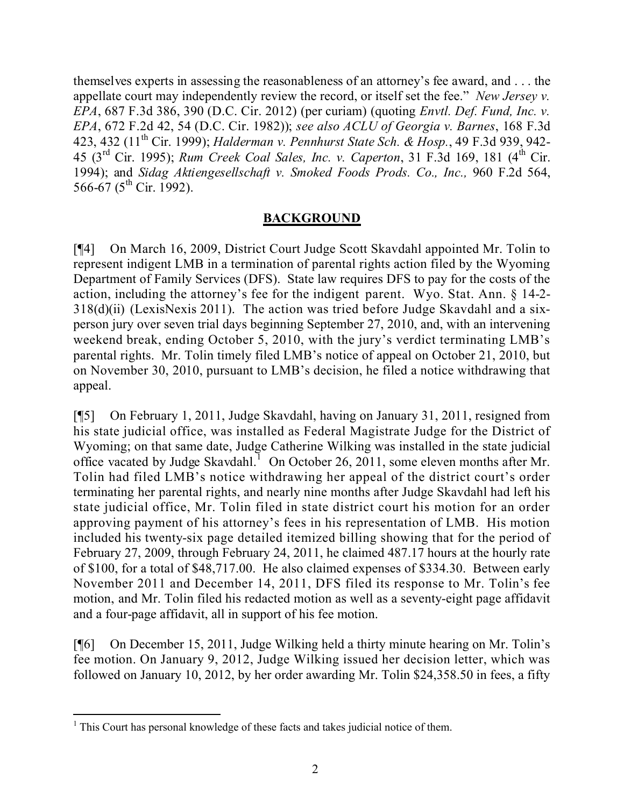themselves experts in assessing the reasonableness of an attorney's fee award, and . . . the appellate court may independently review the record, or itself set the fee." *New Jersey v. EPA*, 687 F.3d 386, 390 (D.C. Cir. 2012) (per curiam) (quoting *Envtl. Def. Fund, Inc. v. EPA*, 672 F.2d 42, 54 (D.C. Cir. 1982)); *see also ACLU of Georgia v. Barnes*, 168 F.3d 423, 432 (11 th Cir. 1999); *Halderman v. Pennhurst State Sch. & Hosp.*, 49 F.3d 939, 942- 45 (3 rd Cir. 1995); *Rum Creek Coal Sales, Inc. v. Caperton*, 31 F.3d 169, 181 (4 th Cir. 1994); and *Sidag Aktiengesellschaft v. Smoked Foods Prods. Co., Inc.,* 960 F.2d 564, 566-67 (5<sup>th</sup> Cir. 1992).

### **BACKGROUND**

[¶4] On March 16, 2009, District Court Judge Scott Skavdahl appointed Mr. Tolin to represent indigent LMB in a termination of parental rights action filed by the Wyoming Department of Family Services (DFS). State law requires DFS to pay for the costs of the action, including the attorney's fee for the indigent parent. Wyo. Stat. Ann. § 14-2- 318(d)(ii) (LexisNexis 2011). The action was tried before Judge Skavdahl and a sixperson jury over seven trial days beginning September 27, 2010, and, with an intervening weekend break, ending October 5, 2010, with the jury's verdict terminating LMB's parental rights. Mr. Tolin timely filed LMB's notice of appeal on October 21, 2010, but on November 30, 2010, pursuant to LMB's decision, he filed a notice withdrawing that appeal.

[¶5] On February 1, 2011, Judge Skavdahl, having on January 31, 2011, resigned from his state judicial office, was installed as Federal Magistrate Judge for the District of Wyoming; on that same date, Judge Catherine Wilking was installed in the state judicial office vacated by Judge Skavdahl.<sup>1</sup> On October 26, 2011, some eleven months after Mr. Tolin had filed LMB's notice withdrawing her appeal of the district court's order terminating her parental rights, and nearly nine months after Judge Skavdahl had left his state judicial office, Mr. Tolin filed in state district court his motion for an order approving payment of his attorney's fees in his representation of LMB. His motion included his twenty-six page detailed itemized billing showing that for the period of February 27, 2009, through February 24, 2011, he claimed 487.17 hours at the hourly rate of \$100, for a total of \$48,717.00. He also claimed expenses of \$334.30. Between early November 2011 and December 14, 2011, DFS filed its response to Mr. Tolin's fee motion, and Mr. Tolin filed his redacted motion as well as a seventy-eight page affidavit and a four-page affidavit, all in support of his fee motion.

[¶6] On December 15, 2011, Judge Wilking held a thirty minute hearing on Mr. Tolin's fee motion. On January 9, 2012, Judge Wilking issued her decision letter, which was followed on January 10, 2012, by her order awarding Mr. Tolin \$24,358.50 in fees, a fifty

  $<sup>1</sup>$  This Court has personal knowledge of these facts and takes judicial notice of them.</sup>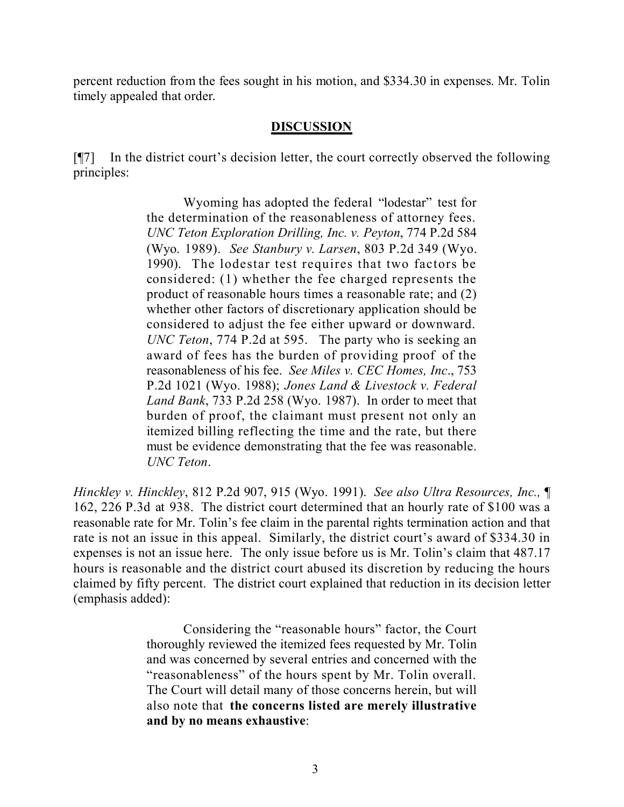percent reduction from the fees sought in his motion, and \$334.30 in expenses. Mr. Tolin timely appealed that order.

## **DISCUSSION**

[¶7] In the district court's decision letter, the court correctly observed the following principles:

> Wyoming has adopted the federal "lodestar" test for the determination of the reasonableness of attorney fees. *UNC Teton Exploration Drilling, Inc. v. Peyton*, 774 P.2d 584 (Wyo. 1989). *See Stanbury v. Larsen*, 803 P.2d 349 (Wyo. 1990). The lodestar test requires that two factors be considered: (1) whether the fee charged represents the product of reasonable hours times a reasonable rate; and (2) whether other factors of discretionary application should be considered to adjust the fee either upward or downward. *UNC Teton*, 774 P.2d at 595. The party who is seeking an award of fees has the burden of providing proof of the reasonableness of his fee. *See Miles v. CEC Homes, Inc*., 753 P.2d 1021 (Wyo. 1988); *Jones Land & Livestock v. Federal Land Bank*, 733 P.2d 258 (Wyo. 1987). In order to meet that burden of proof, the claimant must present not only an itemized billing reflecting the time and the rate, but there must be evidence demonstrating that the fee was reasonable. *UNC Teton*.

*Hinckley v. Hinckley*, 812 P.2d 907, 915 (Wyo. 1991). *See also Ultra Resources, Inc.,* ¶ 162, 226 P.3d at 938. The district court determined that an hourly rate of \$100 was a reasonable rate for Mr. Tolin's fee claim in the parental rights termination action and that rate is not an issue in this appeal. Similarly, the district court's award of \$334.30 in expenses is not an issue here. The only issue before us is Mr. Tolin's claim that 487.17 hours is reasonable and the district court abused its discretion by reducing the hours claimed by fifty percent. The district court explained that reduction in its decision letter (emphasis added):

> Considering the "reasonable hours" factor, the Court thoroughly reviewed the itemized fees requested by Mr. Tolin and was concerned by several entries and concerned with the "reasonableness" of the hours spent by Mr. Tolin overall. The Court will detail many of those concerns herein, but will also note that **the concerns listed are merely illustrative and by no means exhaustive**: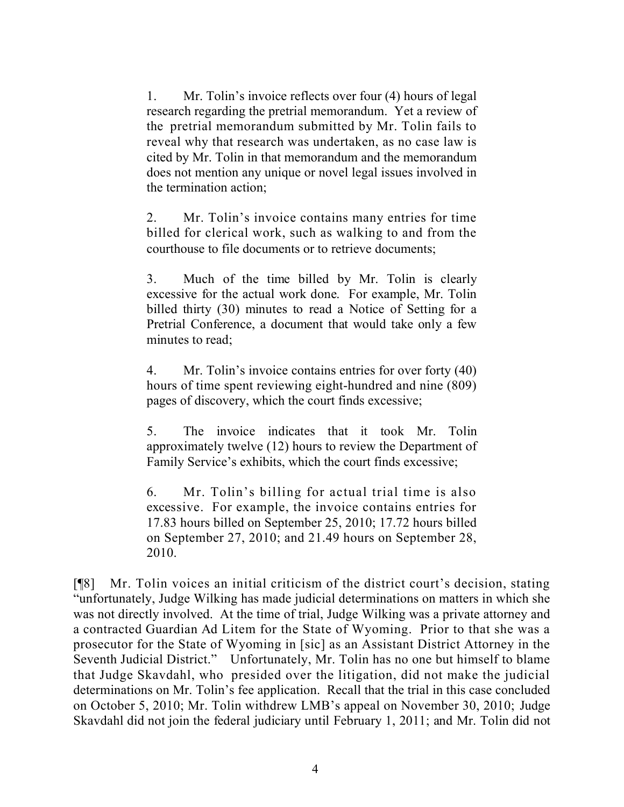1. Mr. Tolin's invoice reflects over four (4) hours of legal research regarding the pretrial memorandum. Yet a review of the pretrial memorandum submitted by Mr. Tolin fails to reveal why that research was undertaken, as no case law is cited by Mr. Tolin in that memorandum and the memorandum does not mention any unique or novel legal issues involved in the termination action;

2. Mr. Tolin's invoice contains many entries for time billed for clerical work, such as walking to and from the courthouse to file documents or to retrieve documents;

3. Much of the time billed by Mr. Tolin is clearly excessive for the actual work done. For example, Mr. Tolin billed thirty (30) minutes to read a Notice of Setting for a Pretrial Conference, a document that would take only a few minutes to read;

4. Mr. Tolin's invoice contains entries for over forty (40) hours of time spent reviewing eight-hundred and nine (809) pages of discovery, which the court finds excessive;

5. The invoice indicates that it took Mr. Tolin approximately twelve (12) hours to review the Department of Family Service's exhibits, which the court finds excessive;

6. Mr. Tolin's billing for actual trial time is also excessive. For example, the invoice contains entries for 17.83 hours billed on September 25, 2010; 17.72 hours billed on September 27, 2010; and 21.49 hours on September 28, 2010.

[¶8] Mr. Tolin voices an initial criticism of the district court's decision, stating "unfortunately, Judge Wilking has made judicial determinations on matters in which she was not directly involved. At the time of trial, Judge Wilking was a private attorney and a contracted Guardian Ad Litem for the State of Wyoming. Prior to that she was a prosecutor for the State of Wyoming in [sic] as an Assistant District Attorney in the Seventh Judicial District." Unfortunately, Mr. Tolin has no one but himself to blame that Judge Skavdahl, who presided over the litigation, did not make the judicial determinations on Mr. Tolin's fee application. Recall that the trial in this case concluded on October 5, 2010; Mr. Tolin withdrew LMB's appeal on November 30, 2010; Judge Skavdahl did not join the federal judiciary until February 1, 2011; and Mr. Tolin did not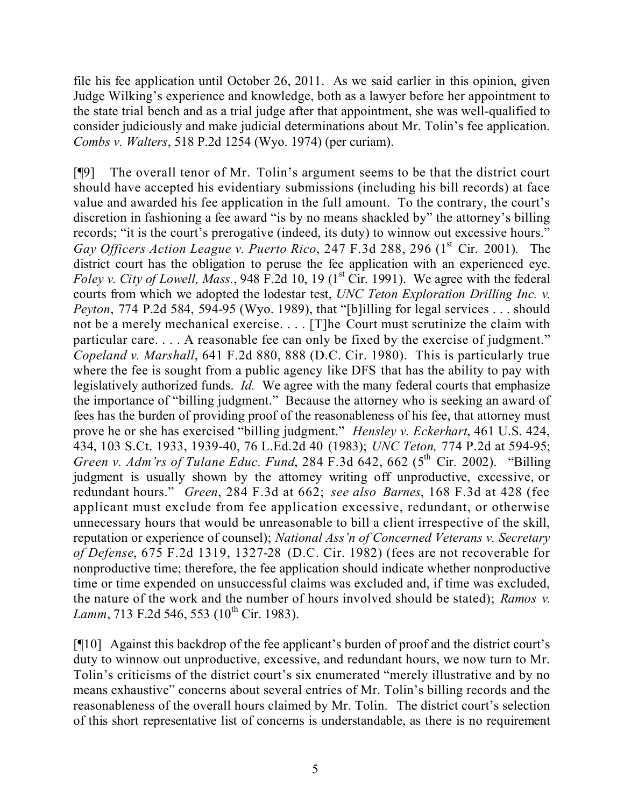file his fee application until October 26, 2011. As we said earlier in this opinion, given Judge Wilking's experience and knowledge, both as a lawyer before her appointment to the state trial bench and as a trial judge after that appointment, she was well-qualified to consider judiciously and make judicial determinations about Mr. Tolin's fee application. *Combs v. Walters*, 518 P.2d 1254 (Wyo. 1974) (per curiam).

[¶9] The overall tenor of Mr. Tolin's argument seems to be that the district court should have accepted his evidentiary submissions (including his bill records) at face value and awarded his fee application in the full amount. To the contrary, the court's discretion in fashioning a fee award "is by no means shackled by" the attorney's billing records; "it is the court's prerogative (indeed, its duty) to winnow out excessive hours." Gay Officers Action League v. Puerto Rico, 247 F.3d 288, 296 (1<sup>st</sup> Cir. 2001). The district court has the obligation to peruse the fee application with an experienced eye. *Foley v. City of Lowell, Mass.*, 948 F.2d 10, 19 (1 st Cir. 1991). We agree with the federal courts from which we adopted the lodestar test, *UNC Teton Exploration Drilling Inc. v. Peyton*, 774 P.2d 584, 594-95 (Wyo. 1989), that "[b]illing for legal services . . . should not be a merely mechanical exercise. . . . [T]he Court must scrutinize the claim with particular care. . . . A reasonable fee can only be fixed by the exercise of judgment." *Copeland v. Marshall*, 641 F.2d 880, 888 (D.C. Cir. 1980). This is particularly true where the fee is sought from a public agency like DFS that has the ability to pay with legislatively authorized funds. *Id.* We agree with the many federal courts that emphasize the importance of "billing judgment." Because the attorney who is seeking an award of fees has the burden of providing proof of the reasonableness of his fee, that attorney must prove he or she has exercised "billing judgment." *Hensley v. Eckerhart*, 461 U.S. 424, 434, 103 S.Ct. 1933, 1939-40, 76 L.Ed.2d 40 (1983); *UNC Teton,* 774 P.2d at 594-95; *Green v. Adm'rs of Tulane Educ. Fund*, 284 F.3d 642, 662 (5<sup>th</sup> Cir. 2002). "Billing judgment is usually shown by the attorney writing off unproductive, excessive, or redundant hours." *Green*, 284 F.3d at 662; *see also Barnes*, 168 F.3d at 428 (fee applicant must exclude from fee application excessive, redundant, or otherwise unnecessary hours that would be unreasonable to bill a client irrespective of the skill, reputation or experience of counsel); *National Ass'n of Concerned Veterans v. Secretary of Defense*, 675 F.2d 1319, 1327-28 (D.C. Cir. 1982) (fees are not recoverable for nonproductive time; therefore, the fee application should indicate whether nonproductive time or time expended on unsuccessful claims was excluded and, if time was excluded, the nature of the work and the number of hours involved should be stated); *Ramos v.* Lamm, 713 F.2d 546, 553 (10<sup>th</sup> Cir. 1983).

[¶10] Against this backdrop of the fee applicant's burden of proof and the district court's duty to winnow out unproductive, excessive, and redundant hours, we now turn to Mr. Tolin's criticisms of the district court's six enumerated "merely illustrative and by no means exhaustive" concerns about several entries of Mr. Tolin's billing records and the reasonableness of the overall hours claimed by Mr. Tolin. The district court's selection of this short representative list of concerns is understandable, as there is no requirement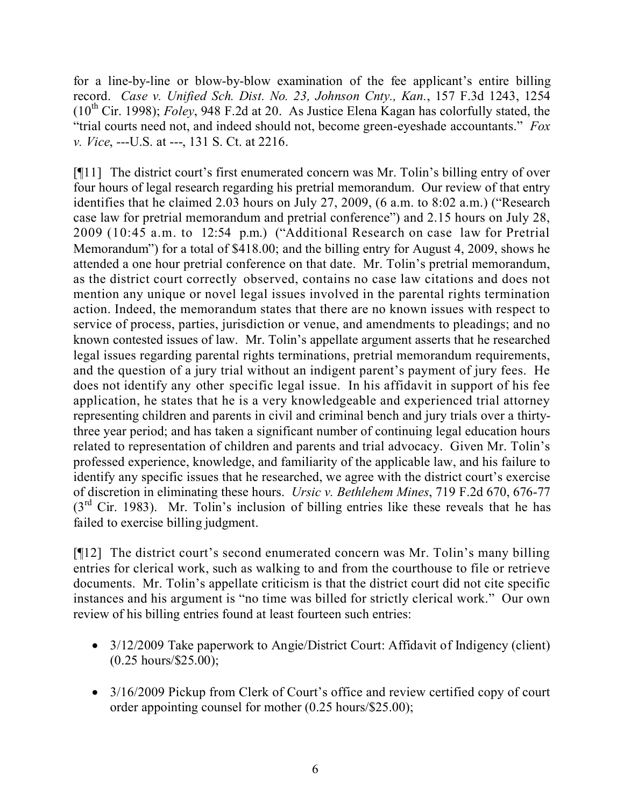for a line-by-line or blow-by-blow examination of the fee applicant's entire billing record. *Case v. Unified Sch. Dist. No. 23, Johnson Cnty., Kan.*, 157 F.3d 1243, 1254 (10 th Cir. 1998); *Foley*, 948 F.2d at 20. As Justice Elena Kagan has colorfully stated, the "trial courts need not, and indeed should not, become green-eyeshade accountants." *Fox v. Vice*, ---U.S. at ---, 131 S. Ct. at 2216.

[¶11] The district court's first enumerated concern was Mr. Tolin's billing entry of over four hours of legal research regarding his pretrial memorandum. Our review of that entry identifies that he claimed 2.03 hours on July 27, 2009, (6 a.m. to 8:02 a.m.) ("Research case law for pretrial memorandum and pretrial conference") and 2.15 hours on July 28, 2009 (10:45 a.m. to 12:54 p.m.) ("Additional Research on case law for Pretrial Memorandum") for a total of \$418.00; and the billing entry for August 4, 2009, shows he attended a one hour pretrial conference on that date. Mr. Tolin's pretrial memorandum, as the district court correctly observed, contains no case law citations and does not mention any unique or novel legal issues involved in the parental rights termination action. Indeed, the memorandum states that there are no known issues with respect to service of process, parties, jurisdiction or venue, and amendments to pleadings; and no known contested issues of law. Mr. Tolin's appellate argument asserts that he researched legal issues regarding parental rights terminations, pretrial memorandum requirements, and the question of a jury trial without an indigent parent's payment of jury fees. He does not identify any other specific legal issue. In his affidavit in support of his fee application, he states that he is a very knowledgeable and experienced trial attorney representing children and parents in civil and criminal bench and jury trials over a thirtythree year period; and has taken a significant number of continuing legal education hours related to representation of children and parents and trial advocacy. Given Mr. Tolin's professed experience, knowledge, and familiarity of the applicable law, and his failure to identify any specific issues that he researched, we agree with the district court's exercise of discretion in eliminating these hours. *Ursic v. Bethlehem Mines*, 719 F.2d 670, 676-77  $(3<sup>rd</sup>$  Cir. 1983). Mr. Tolin's inclusion of billing entries like these reveals that he has failed to exercise billing judgment.

[¶12] The district court's second enumerated concern was Mr. Tolin's many billing entries for clerical work, such as walking to and from the courthouse to file or retrieve documents. Mr. Tolin's appellate criticism is that the district court did not cite specific instances and his argument is "no time was billed for strictly clerical work." Our own review of his billing entries found at least fourteen such entries:

- 3/12/2009 Take paperwork to Angie/District Court: Affidavit of Indigency (client) (0.25 hours/\$25.00);
- 3/16/2009 Pickup from Clerk of Court's office and review certified copy of court order appointing counsel for mother (0.25 hours/\$25.00);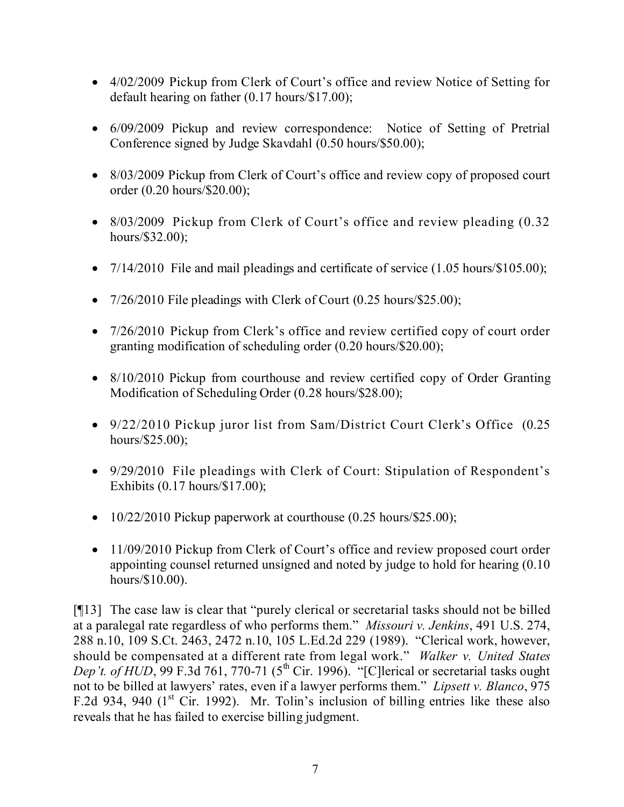- 4/02/2009 Pickup from Clerk of Court's office and review Notice of Setting for default hearing on father (0.17 hours/\$17.00);
- 6/09/2009 Pickup and review correspondence: Notice of Setting of Pretrial Conference signed by Judge Skavdahl (0.50 hours/\$50.00);
- 8/03/2009 Pickup from Clerk of Court's office and review copy of proposed court order (0.20 hours/\$20.00);
- 8/03/2009 Pickup from Clerk of Court's office and review pleading  $(0.32)$ hours/\$32.00);
- $7/14/2010$  File and mail pleadings and certificate of service  $(1.05 \text{ hours}/\$105.00)$ ;
- $7/26/2010$  File pleadings with Clerk of Court  $(0.25 \text{ hours}/\$25.00)$ ;
- 7/26/2010 Pickup from Clerk's office and review certified copy of court order granting modification of scheduling order (0.20 hours/\$20.00);
- 8/10/2010 Pickup from courthouse and review certified copy of Order Granting Modification of Scheduling Order (0.28 hours/\$28.00);
- 9/22/2010 Pickup juror list from Sam/District Court Clerk's Office (0.25 hours/\$25.00);
- 9/29/2010 File pleadings with Clerk of Court: Stipulation of Respondent's Exhibits (0.17 hours/\$17.00);
- $\bullet$  10/22/2010 Pickup paperwork at courthouse (0.25 hours/\$25.00);
- 11/09/2010 Pickup from Clerk of Court's office and review proposed court order appointing counsel returned unsigned and noted by judge to hold for hearing (0.10 hours/\$10.00).

[¶13] The case law is clear that "purely clerical or secretarial tasks should not be billed at a paralegal rate regardless of who performs them." *Missouri v. Jenkins*, 491 U.S. 274, 288 n.10, 109 S.Ct. 2463, 2472 n.10, 105 L.Ed.2d 229 (1989). "Clerical work, however, should be compensated at a different rate from legal work." *Walker v. United States Dep't. of HUD*, 99 F.3d 761, 770-71 (5<sup>th</sup> Cir. 1996). "[C]lerical or secretarial tasks ought not to be billed at lawyers' rates, even if a lawyer performs them." *Lipsett v. Blanco*, 975 F.2d 934, 940 (1<sup>st</sup> Cir. 1992). Mr. Tolin's inclusion of billing entries like these also reveals that he has failed to exercise billing judgment.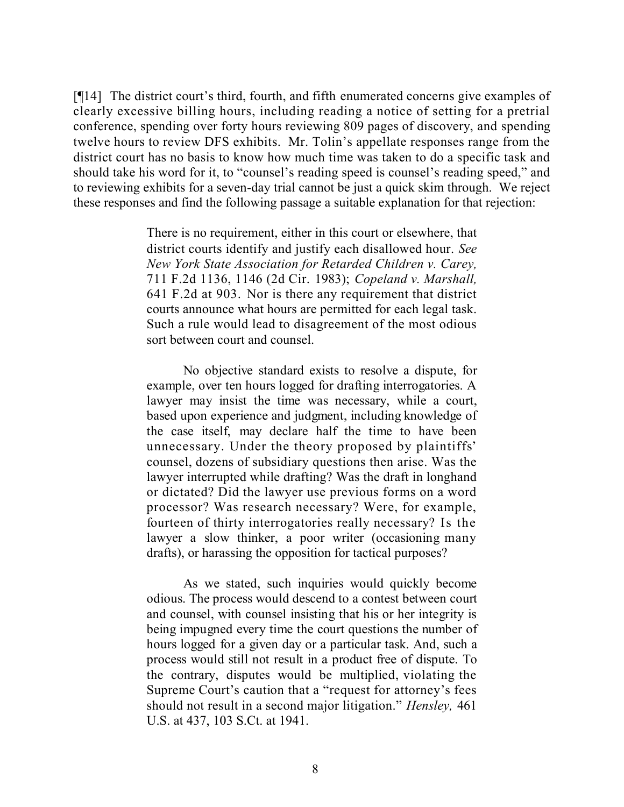[¶14] The district court's third, fourth, and fifth enumerated concerns give examples of clearly excessive billing hours, including reading a notice of setting for a pretrial conference, spending over forty hours reviewing 809 pages of discovery, and spending twelve hours to review DFS exhibits. Mr. Tolin's appellate responses range from the district court has no basis to know how much time was taken to do a specific task and should take his word for it, to "counsel's reading speed is counsel's reading speed," and to reviewing exhibits for a seven-day trial cannot be just a quick skim through. We reject these responses and find the following passage a suitable explanation for that rejection:

> There is no requirement, either in this court or elsewhere, that district courts identify and justify each disallowed hour. *See New York State Association for Retarded Children v. Carey,* 711 F.2d 1136, 1146 (2d Cir. 1983); *Copeland v. Marshall,* 641 F.2d at 903. Nor is there any requirement that district courts announce what hours are permitted for each legal task. Such a rule would lead to disagreement of the most odious sort between court and counsel.

> No objective standard exists to resolve a dispute, for example, over ten hours logged for drafting interrogatories. A lawyer may insist the time was necessary, while a court, based upon experience and judgment, including knowledge of the case itself, may declare half the time to have been unnecessary. Under the theory proposed by plaintiffs' counsel, dozens of subsidiary questions then arise. Was the lawyer interrupted while drafting? Was the draft in longhand or dictated? Did the lawyer use previous forms on a word processor? Was research necessary? Were, for example, fourteen of thirty interrogatories really necessary? Is the lawyer a slow thinker, a poor writer (occasioning many drafts), or harassing the opposition for tactical purposes?

> As we stated, such inquiries would quickly become odious. The process would descend to a contest between court and counsel, with counsel insisting that his or her integrity is being impugned every time the court questions the number of hours logged for a given day or a particular task. And, such a process would still not result in a product free of dispute. To the contrary, disputes would be multiplied, violating the Supreme Court's caution that a "request for attorney's fees should not result in a second major litigation." *Hensley,* 461 U.S. at 437, 103 S.Ct. at 1941.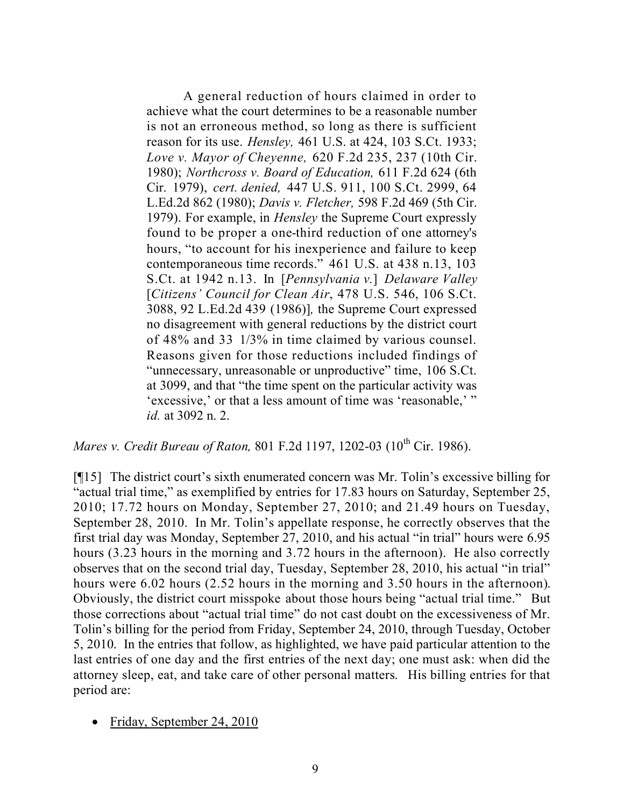A general reduction of hours claimed in order to achieve what the court determines to be a reasonable number is not an erroneous method, so long as there is sufficient reason for its use. *Hensley,* 461 U.S. at 424, 103 S.Ct. 1933; *Love v. Mayor of Cheyenne,* 620 F.2d 235, 237 (10th Cir. 1980); *Northcross v. Board of Education,* 611 F.2d 624 (6th Cir. 1979), *cert. denied,* 447 U.S. 911, 100 S.Ct. 2999, 64 L.Ed.2d 862 (1980); *Davis v. Fletcher,* 598 F.2d 469 (5th Cir. 1979). For example, in *Hensley* the Supreme Court expressly found to be proper a one-third reduction of one attorney's hours, "to account for his inexperience and failure to keep contemporaneous time records." 461 U.S. at 438 n.13, 103 S.Ct. at 1942 n.13. In [*Pennsylvania v.*] *Delaware Valley* [*Citizens' Council for Clean Air*, 478 U.S. 546, 106 S.Ct. 3088, 92 L.Ed.2d 439 (1986)]*,* the Supreme Court expressed no disagreement with general reductions by the district court of 48% and 33 1/3% in time claimed by various counsel. Reasons given for those reductions included findings of "unnecessary, unreasonable or unproductive" time, 106 S.Ct. at 3099, and that "the time spent on the particular activity was 'excessive,' or that a less amount of time was 'reasonable,' " *id.* at 3092 n. 2.

*Mares v. Credit Bureau of Raton,* 801 F.2d 1197, 1202-03 (10 th Cir. 1986).

[¶15] The district court's sixth enumerated concern was Mr. Tolin's excessive billing for "actual trial time," as exemplified by entries for 17.83 hours on Saturday, September 25, 2010; 17.72 hours on Monday, September 27, 2010; and 21.49 hours on Tuesday, September 28, 2010. In Mr. Tolin's appellate response, he correctly observes that the first trial day was Monday, September 27, 2010, and his actual "in trial" hours were 6.95 hours (3.23 hours in the morning and 3.72 hours in the afternoon). He also correctly observes that on the second trial day, Tuesday, September 28, 2010, his actual "in trial" hours were 6.02 hours (2.52 hours in the morning and 3.50 hours in the afternoon). Obviously, the district court misspoke about those hours being "actual trial time." But those corrections about "actual trial time" do not cast doubt on the excessiveness of Mr. Tolin's billing for the period from Friday, September 24, 2010, through Tuesday, October 5, 2010. In the entries that follow, as highlighted, we have paid particular attention to the last entries of one day and the first entries of the next day; one must ask: when did the attorney sleep, eat, and take care of other personal matters. His billing entries for that period are:

Friday, September 24, 2010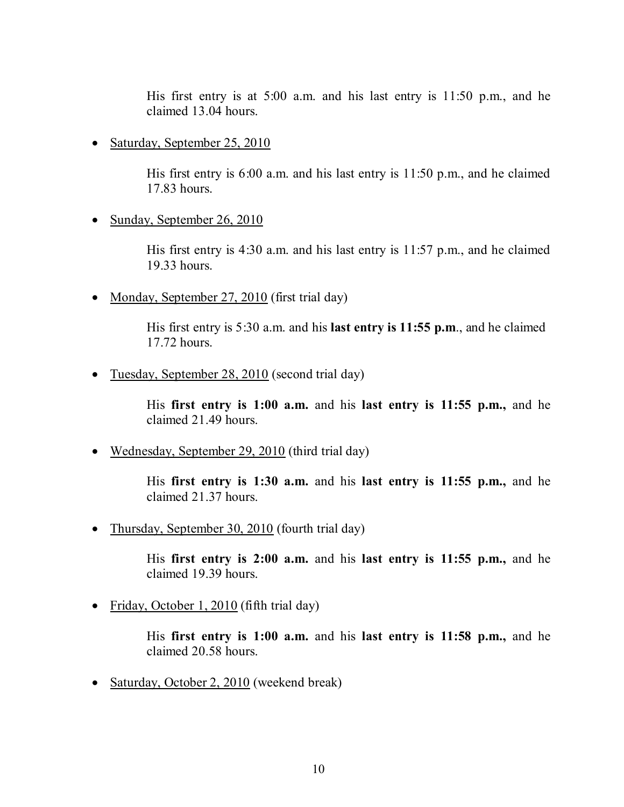His first entry is at 5:00 a.m. and his last entry is 11:50 p.m., and he claimed 13.04 hours.

• Saturday, September 25, 2010

His first entry is 6:00 a.m. and his last entry is 11:50 p.m., and he claimed 17.83 hours.

• Sunday, September 26, 2010

His first entry is 4:30 a.m. and his last entry is 11:57 p.m., and he claimed 19.33 hours.

• Monday, September 27, 2010 (first trial day)

His first entry is 5:30 a.m. and his **last entry is 11:55 p.m**., and he claimed 17.72 hours.

• Tuesday, September 28, 2010 (second trial day)

His **first entry is 1:00 a.m.** and his **last entry is 11:55 p.m.,** and he claimed 21.49 hours.

• Wednesday, September 29, 2010 (third trial day)

His **first entry is 1:30 a.m.** and his **last entry is 11:55 p.m.,** and he claimed 21.37 hours.

• Thursday, September 30, 2010 (fourth trial day)

His **first entry is 2:00 a.m.** and his **last entry is 11:55 p.m.,** and he claimed 19.39 hours.

• Friday, October 1, 2010 (fifth trial day)

His **first entry is 1:00 a.m.** and his **last entry is 11:58 p.m.,** and he claimed 20.58 hours.

• Saturday, October 2, 2010 (weekend break)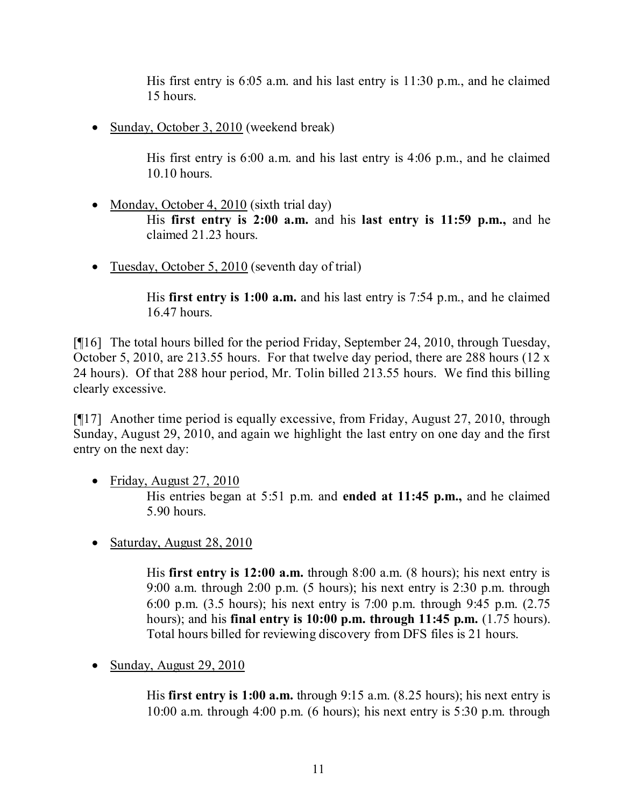His first entry is 6:05 a.m. and his last entry is 11:30 p.m., and he claimed 15 hours.

• Sunday, October 3, 2010 (weekend break)

His first entry is 6:00 a.m. and his last entry is 4:06 p.m., and he claimed 10.10 hours.

- Monday, October 4, 2010 (sixth trial day) His **first entry is 2:00 a.m.** and his **last entry is 11:59 p.m.,** and he claimed 21.23 hours.
- Tuesday, October 5, 2010 (seventh day of trial)

His **first entry is 1:00 a.m.** and his last entry is 7:54 p.m., and he claimed 16.47 hours.

[¶16] The total hours billed for the period Friday, September 24, 2010, through Tuesday, October 5, 2010, are 213.55 hours. For that twelve day period, there are 288 hours (12 x 24 hours). Of that 288 hour period, Mr. Tolin billed 213.55 hours. We find this billing clearly excessive.

[¶17] Another time period is equally excessive, from Friday, August 27, 2010, through Sunday, August 29, 2010, and again we highlight the last entry on one day and the first entry on the next day:

- Friday, August 27, 2010 His entries began at 5:51 p.m. and **ended at 11:45 p.m.,** and he claimed 5.90 hours.
- Saturday, August  $28, 2010$

His **first entry is 12:00 a.m.** through 8:00 a.m. (8 hours); his next entry is 9:00 a.m. through 2:00 p.m. (5 hours); his next entry is 2:30 p.m. through 6:00 p.m. (3.5 hours); his next entry is 7:00 p.m. through 9:45 p.m. (2.75 hours); and his **final entry is 10:00 p.m. through 11:45 p.m.** (1.75 hours). Total hours billed for reviewing discovery from DFS files is 21 hours.

• Sunday, August  $29, 2010$ 

His **first entry is 1:00 a.m.** through 9:15 a.m. (8.25 hours); his next entry is 10:00 a.m. through 4:00 p.m. (6 hours); his next entry is  $5:30$  p.m. through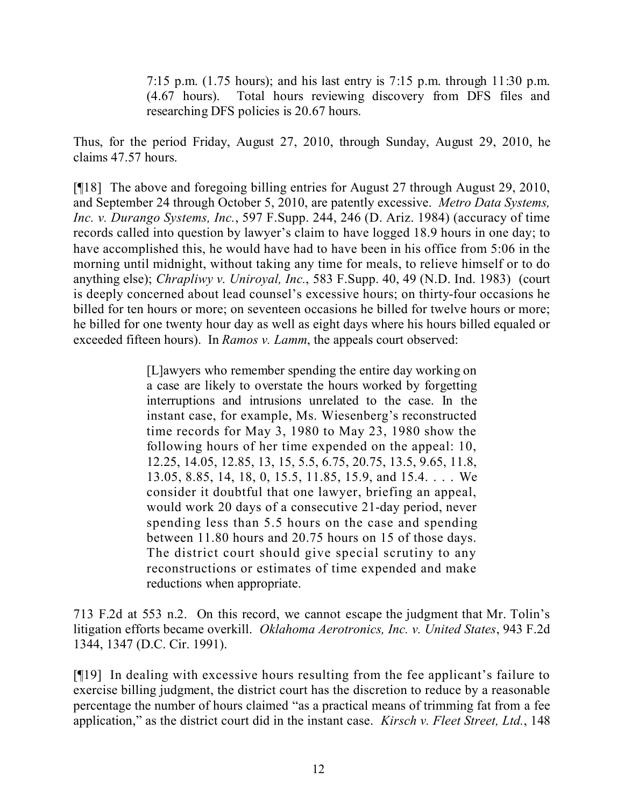7:15 p.m. (1.75 hours); and his last entry is 7:15 p.m. through 11:30 p.m. (4.67 hours). Total hours reviewing discovery from DFS files and researching DFS policies is 20.67 hours.

Thus, for the period Friday, August 27, 2010, through Sunday, August 29, 2010, he claims 47.57 hours.

[¶18] The above and foregoing billing entries for August 27 through August 29, 2010, and September 24 through October 5, 2010, are patently excessive. *Metro Data Systems, Inc. v. Durango Systems, Inc.*, 597 F.Supp. 244, 246 (D. Ariz. 1984) (accuracy of time records called into question by lawyer's claim to have logged 18.9 hours in one day; to have accomplished this, he would have had to have been in his office from 5:06 in the morning until midnight, without taking any time for meals, to relieve himself or to do anything else); *Chrapliwy v. Uniroyal, Inc.*, 583 F.Supp. 40, 49 (N.D. Ind. 1983) (court is deeply concerned about lead counsel's excessive hours; on thirty-four occasions he billed for ten hours or more; on seventeen occasions he billed for twelve hours or more; he billed for one twenty hour day as well as eight days where his hours billed equaled or exceeded fifteen hours). In *Ramos v. Lamm*, the appeals court observed:

> [L]awyers who remember spending the entire day working on a case are likely to overstate the hours worked by forgetting interruptions and intrusions unrelated to the case. In the instant case, for example, Ms. Wiesenberg's reconstructed time records for May 3, 1980 to May 23, 1980 show the following hours of her time expended on the appeal: 10, 12.25, 14.05, 12.85, 13, 15, 5.5, 6.75, 20.75, 13.5, 9.65, 11.8, 13.05, 8.85, 14, 18, 0, 15.5, 11.85, 15.9, and 15.4. . . . We consider it doubtful that one lawyer, briefing an appeal, would work 20 days of a consecutive 21-day period, never spending less than 5.5 hours on the case and spending between 11.80 hours and 20.75 hours on 15 of those days. The district court should give special scrutiny to any reconstructions or estimates of time expended and make reductions when appropriate.

713 F.2d at 553 n.2. On this record, we cannot escape the judgment that Mr. Tolin's litigation efforts became overkill. *Oklahoma Aerotronics, Inc. v. United States*, 943 F.2d 1344, 1347 (D.C. Cir. 1991).

[¶19] In dealing with excessive hours resulting from the fee applicant's failure to exercise billing judgment, the district court has the discretion to reduce by a reasonable percentage the number of hours claimed "as a practical means of trimming fat from a fee application," as the district court did in the instant case. *Kirsch v. Fleet Street, Ltd.*, 148